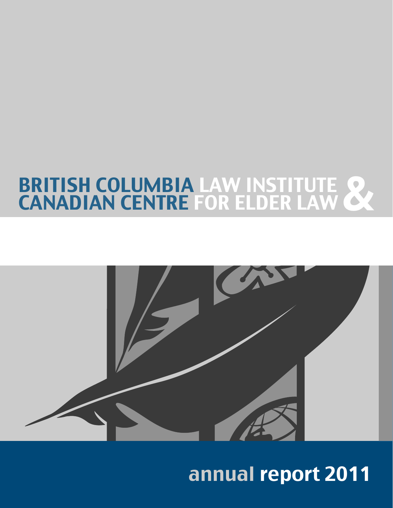# BRITISH COLUMBIA LAW INSTITUTE 8



# annual report 2011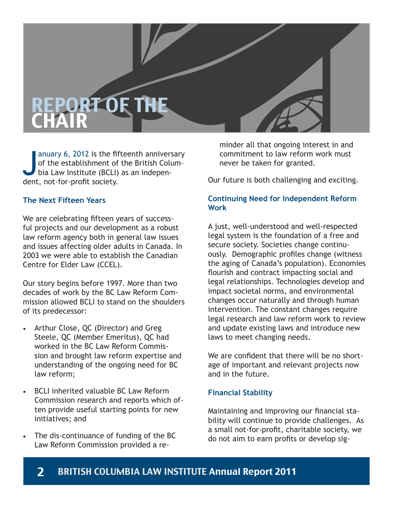# REPORT OF THE **CHAIR**

anuary 6, 2012 is the fif<br>of the establishment of<br>bia Law Institute (BCLI)<br>dent, not-for-profit society. anuary 6, 2012 is the fifteenth anniversary of the establishment of the British Columbia Law Institute (BCLI) as an indepen-

### **The Next Fifteen Years**

We are celebrating fifteen years of successful projects and our development as a robust law reform agency both in general law issues and issues affecting older adults in Canada. In 2003 we were able to establish the Canadian Centre for Elder Law (CCEL).

Our story begins before 1997. More than two decades of work by the BC Law Reform Commission allowed BCLI to stand on the shoulders of its predecessor:

- • Arthur Close, QC (Director) and Greg Steele, QC (Member Emeritus), QC had worked in the BC Law Reform Commission and brought law reform expertise and understanding of the ongoing need for BC law reform;
- **BCLI** inherited valuable BC Law Reform Commission research and reports which often provide useful starting points for new initiatives; and
- The dis-continuance of funding of the BC Law Reform Commission provided a re-

minder all that ongoing interest in and commitment to law reform work must never be taken for granted.

Our future is both challenging and exciting.

### **Continuing Need for Independent Reform Work**

A just, well-understood and well-respected legal system is the foundation of a free and secure society. Societies change continuously. Demographic profiles change (witness the aging of Canada's population). Economies flourish and contract impacting social and legal relationships. Technologies develop and impact societal norms, and environmental changes occur naturally and through human intervention. The constant changes require legal research and law reform work to review and update existing laws and introduce new laws to meet changing needs.

We are confident that there will be no shortage of important and relevant projects now and in the future.

### **Financial Stability**

Maintaining and improving our financial stability will continue to provide challenges. As a small not-for-profit, charitable society, we do not aim to earn profits or develop sig-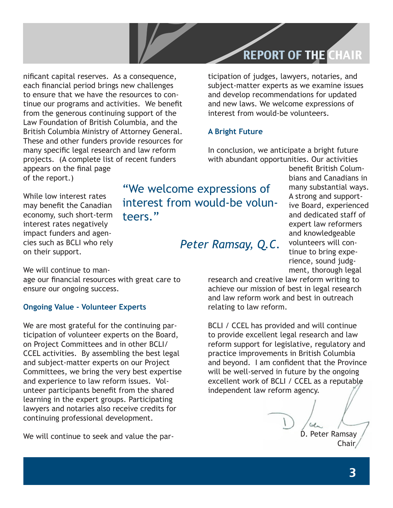### REPORT OF THE CHAIR

nificant capital reserves. As a consequence, each financial period brings new challenges to ensure that we have the resources to continue our programs and activities. We benefit from the generous continuing support of the Law Foundation of British Columbia, and the British Columbia Ministry of Attorney General. These and other funders provide resources for many specific legal research and law reform projects. (A complete list of recent funders appears on the final page of the report.)

ticipation of judges, lawyers, notaries, and subject-matter experts as we examine issues and develop recommendations for updated and new laws. We welcome expressions of interest from would-be volunteers.

#### **A Bright Future**

In conclusion, we anticipate a bright future with abundant opportunities. Our activities

While low interest rates may benefit the Canadian economy, such short-term interest rates negatively impact funders and agencies such as BCLI who rely on their support.

"We welcome expressions of interest from would-be volunteers."

*Peter Ramsay, Q.C.*

benefit British Columbians and Canadians in many substantial ways. A strong and supportive Board, experienced and dedicated staff of expert law reformers and knowledgeable volunteers will continue to bring experience, sound judgment, thorough legal

We will continue to man-

age our financial resources with great care to ensure our ongoing success.

#### **Ongoing Value - Volunteer Experts**

We are most grateful for the continuing participation of volunteer experts on the Board, on Project Committees and in other BCLI/ CCEL activities. By assembling the best legal and subject-matter experts on our Project Committees, we bring the very best expertise and experience to law reform issues. Volunteer participants benefit from the shared learning in the expert groups. Participating lawyers and notaries also receive credits for continuing professional development.

We will continue to seek and value the par-

research and creative law reform writing to achieve our mission of best in legal research and law reform work and best in outreach relating to law reform.

BCLI / CCEL has provided and will continue to provide excellent legal research and law reform support for legislative, regulatory and practice improvements in British Columbia and beyond. I am confident that the Province will be well-served in future by the ongoing excellent work of BCLI / CCEL as a reputable independent law reform agency.

D. Peter Ramsay Chair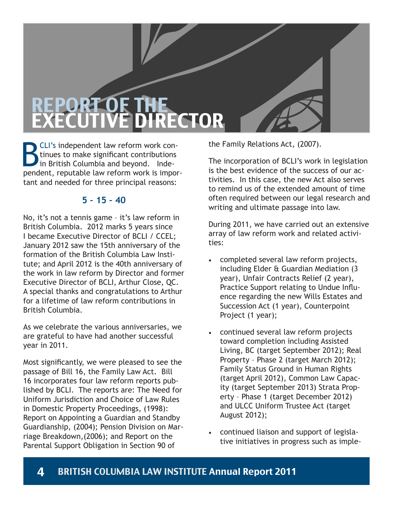# REPORT OF THE DIRECTOR

**BCLI's independent law reform work con-**<br>tinues to make significant contributions<br>in British Columbia and beyond. Inde-<br>pendent, reputable law reform work is importinues to make significant contributions in British Columbia and beyond. Independent, reputable law reform work is important and needed for three principal reasons:

### **5 – 15 – 40**

No, it's not a tennis game – it's law reform in British Columbia. 2012 marks 5 years since I became Executive Director of BCLI / CCEL; January 2012 saw the 15th anniversary of the formation of the British Columbia Law Institute; and April 2012 is the 40th anniversary of the work in law reform by Director and former Executive Director of BCLI, Arthur Close, QC. A special thanks and congratulations to Arthur for a lifetime of law reform contributions in British Columbia.

As we celebrate the various anniversaries, we are grateful to have had another successful year in 2011.

Most significantly, we were pleased to see the passage of Bill 16, the Family Law Act. Bill 16 incorporates four law reform reports published by BCLI. The reports are: The Need for Uniform Jurisdiction and Choice of Law Rules in Domestic Property Proceedings, (1998): Report on Appointing a Guardian and Standby Guardianship, (2004); Pension Division on Marriage Breakdown,(2006); and Report on the Parental Support Obligation in Section 90 of

the Family Relations Act, (2007).

The incorporation of BCLI's work in legislation is the best evidence of the success of our activities. In this case, the new Act also serves to remind us of the extended amount of time often required between our legal research and writing and ultimate passage into law.

During 2011, we have carried out an extensive array of law reform work and related activities:

- completed several law reform projects, including Elder & Guardian Mediation (3 year), Unfair Contracts Relief (2 year), Practice Support relating to Undue Influence regarding the new Wills Estates and Succession Act (1 year), Counterpoint Project (1 year);
- continued several law reform projects toward completion including Assisted Living, BC (target September 2012); Real Property – Phase 2 (target March 2012); Family Status Ground in Human Rights (target April 2012), Common Law Capacity (target September 2013) Strata Property – Phase 1 (target December 2012) and ULCC Uniform Trustee Act (target August 2012);
- continued liaison and support of legislative initiatives in progress such as imple-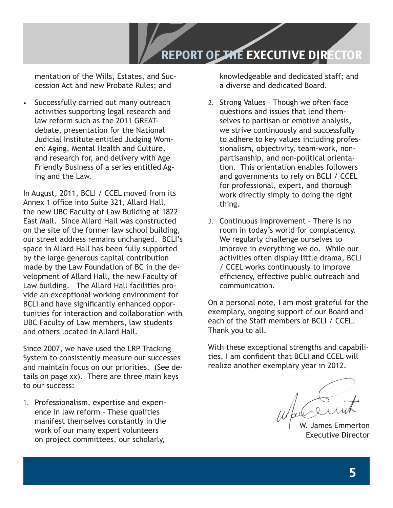

mentation of the Wills, Estates, and Succession Act and new Probate Rules; and

Successfully carried out many outreach activities supporting legal research and law reform such as the 2011 GREATdebate, presentation for the National Judicial Institute entitled Judging Women: Aging, Mental Health and Culture, and research for, and delivery with Age Friendly Business of a series entitled Aging and the Law.

In August, 2011, BCLI / CCEL moved from its Annex 1 office into Suite 321, Allard Hall, the new UBC Faculty of Law Building at 1822 East Mall. Since Allard Hall was constructed on the site of the former law school building, our street address remains unchanged. BCLI's space in Allard Hall has been fully supported by the large generous capital contribution made by the Law Foundation of BC in the development of Allard Hall, the new Faculty of Law building. The Allard Hall facilities provide an exceptional working environment for BCLI and have significantly enhanced opportunities for interaction and collaboration with UBC Faculty of Law members, law students and others located in Allard Hall.

Since 2007, we have used the LRP Tracking System to consistently measure our successes and maintain focus on our priorities. (See details on page xx). There are three main keys to our success:

1. Professionalism, expertise and experience in law reform - These qualities manifest themselves constantly in the work of our many expert volunteers on project committees, our scholarly,

knowledgeable and dedicated staff; and a diverse and dedicated Board.

- 2. Strong Values Though we often face questions and issues that lend themselves to partisan or emotive analysis, we strive continuously and successfully to adhere to key values including professionalism, objectivity, team-work, nonpartisanship, and non-political orientation. This orientation enables followers and governments to rely on BCLI / CCEL for professional, expert, and thorough work directly simply to doing the right thing.
- 3. Continuous Improvement There is no room in today's world for complacency. We regularly challenge ourselves to improve in everything we do. While our activities often display little drama, BCLI / CCEL works continuously to improve efficiency, effective public outreach and communication.

On a personal note, I am most grateful for the exemplary, ongoing support of our Board and each of the Staff members of BCLI / CCEL. Thank you to all.

With these exceptional strengths and capabilities, I am confident that BCLI and CCEL will realize another exemplary year in 2012.

James Emmerton Executive Director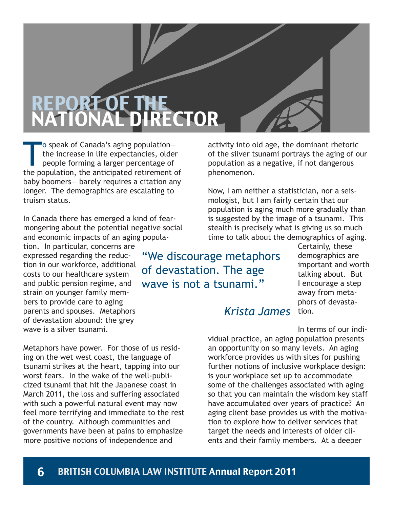# REPORT OF THE RECTOR

To speak of Canada's aging population—<br>the increase in life expectancies, older<br>people forming a larger percentage of<br>the population, the anticipated retirement of the increase in life expectancies, older people forming a larger percentage of the population, the anticipated retirement of baby boomers— barely requires a citation any longer. The demographics are escalating to truism status.

In Canada there has emerged a kind of fearmongering about the potential negative social and economic impacts of an aging popula-

tion. In particular, concerns are expressed regarding the reduction in our workforce, additional costs to our healthcare system and public pension regime, and strain on younger family members to provide care to aging parents and spouses. Metaphors of devastation abound: the grey wave is a silver tsunami.

Metaphors have power. For those of us residing on the wet west coast, the language of tsunami strikes at the heart, tapping into our worst fears. In the wake of the well-publicized tsunami that hit the Japanese coast in March 2011, the loss and suffering associated with such a powerful natural event may now feel more terrifying and immediate to the rest of the country. Although communities and governments have been at pains to emphasize more positive notions of independence and

activity into old age, the dominant rhetoric of the silver tsunami portrays the aging of our population as a negative, if not dangerous phenomenon.

Now, I am neither a statistician, nor a seismologist, but I am fairly certain that our population is aging much more gradually than is suggested by the image of a tsunami. This stealth is precisely what is giving us so much time to talk about the demographics of aging.

"We discourage metaphors of devastation. The age wave is not a tsunami."

Certainly, these demographics are important and worth talking about. But I encourage a step away from metaphors of devastation.

### *Krista James*

In terms of our indi-

vidual practice, an aging population presents an opportunity on so many levels. An aging workforce provides us with sites for pushing further notions of inclusive workplace design: is your workplace set up to accommodate some of the challenges associated with aging so that you can maintain the wisdom key staff have accumulated over years of practice? An aging client base provides us with the motivation to explore how to deliver services that target the needs and interests of older clients and their family members. At a deeper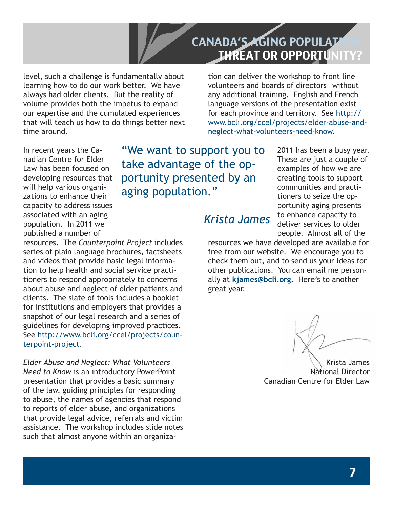### CANADA'S AGING POPULAT THREAT OR OPPORTUNITY?

level, such a challenge is fundamentally about learning how to do our work better. We have always had older clients. But the reality of volume provides both the impetus to expand our expertise and the cumulated experiences that will teach us how to do things better next time around.

tion can deliver the workshop to front line volunteers and boards of directors—without any additional training. English and French language versions of the presentation exist for each province and territory. See http:// www.bcli.org/ccel/projects/elder-abuse-andneglect-what-volunteers-need-know.

In recent years the Canadian Centre for Elder Law has been focused on developing resources that will help various organizations to enhance their capacity to address issues associated with an aging population. In 2011 we published a number of

"We want to support you to take advantage of the opportunity presented by an aging population."

2011 has been a busy year. These are just a couple of examples of how we are creating tools to support communities and practitioners to seize the opportunity aging presents to enhance capacity to deliver services to older people. Almost all of the

### *Krista James*

resources. The *Counterpoint Project* includes series of plain language brochures, factsheets and videos that provide basic legal information to help health and social service practitioners to respond appropriately to concerns about abuse and neglect of older patients and clients. The slate of tools includes a booklet for institutions and employers that provides a snapshot of our legal research and a series of guidelines for developing improved practices. See http://www.bcli.org/ccel/projects/counterpoint-project.

*Elder Abuse and Neglect: What Volunteers Need to Know* is an introductory PowerPoint presentation that provides a basic summary of the law, guiding principles for responding to abuse, the names of agencies that respond to reports of elder abuse, and organizations that provide legal advice, referrals and victim assistance. The workshop includes slide notes such that almost anyone within an organizaresources we have developed are available for free from our website. We encourage you to check them out, and to send us your ideas for other publications. You can email me personally at **kjames@bcli.org**. Here's to another great year.

Krista James National Director Canadian Centre for Elder Law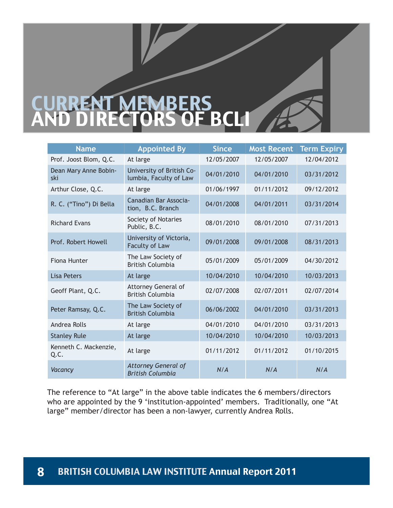# CURRENT MEMBERS DIRECTORS OF BCLI

| <b>Name</b>                   | <b>Appointed By</b>                                   | <b>Since</b> | <b>Most Recent</b> | <b>Term Expiry</b> |
|-------------------------------|-------------------------------------------------------|--------------|--------------------|--------------------|
| Prof. Joost Blom, Q.C.        | At large                                              | 12/05/2007   | 12/05/2007         | 12/04/2012         |
| Dean Mary Anne Bobin-<br>ski  | University of British Co-<br>lumbia, Faculty of Law   | 04/01/2010   | 04/01/2010         | 03/31/2012         |
| Arthur Close, Q.C.            | At large                                              | 01/06/1997   | 01/11/2012         | 09/12/2012         |
| R. C. ("Tino") Di Bella       | Canadian Bar Associa-<br>tion, B.C. Branch            | 04/01/2008   | 04/01/2011         | 03/31/2014         |
| <b>Richard Evans</b>          | Society of Notaries<br>Public, B.C.                   | 08/01/2010   | 08/01/2010         | 07/31/2013         |
| Prof. Robert Howell           | University of Victoria,<br>Faculty of Law             | 09/01/2008   | 09/01/2008         | 08/31/2013         |
| Fiona Hunter                  | The Law Society of<br><b>British Columbia</b>         | 05/01/2009   | 05/01/2009         | 04/30/2012         |
| <b>Lisa Peters</b>            | At large                                              | 10/04/2010   | 10/04/2010         | 10/03/2013         |
| Geoff Plant, Q.C.             | <b>Attorney General of</b><br><b>British Columbia</b> | 02/07/2008   | 02/07/2011         | 02/07/2014         |
| Peter Ramsay, Q.C.            | The Law Society of<br><b>British Columbia</b>         | 06/06/2002   | 04/01/2010         | 03/31/2013         |
| Andrea Rolls                  | At large                                              | 04/01/2010   | 04/01/2010         | 03/31/2013         |
| <b>Stanley Rule</b>           | At large                                              | 10/04/2010   | 10/04/2010         | 10/03/2013         |
| Kenneth C. Mackenzie,<br>Q.C. | At large                                              | 01/11/2012   | 01/11/2012         | 01/10/2015         |
| Vacancy                       | <b>Attorney General of</b><br><b>British Columbia</b> | N/A          | N/A                | N/A                |

The reference to "At large" in the above table indicates the 6 members/directors who are appointed by the 9 'institution-appointed' members. Traditionally, one "At large" member/director has been a non-lawyer, currently Andrea Rolls.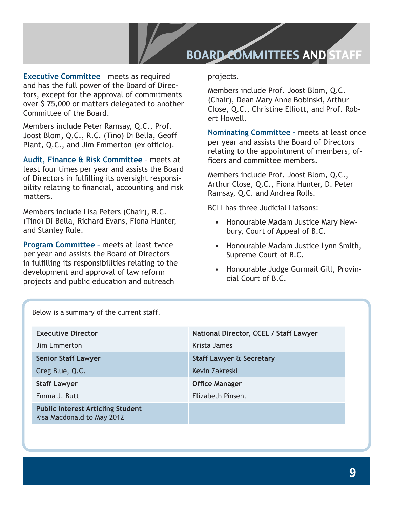### BOARD COMMITTEES AND STAFF

**Executive Committee** – meets as required and has the full power of the Board of Directors, except for the approval of commitments over \$ 75,000 or matters delegated to another Committee of the Board.

Members include Peter Ramsay, Q.C., Prof. Joost Blom, Q.C., R.C. (Tino) Di Bella, Geoff Plant, Q.C., and Jim Emmerton (ex officio).

**Audit, Finance & Risk Committee** – meets at least four times per year and assists the Board of Directors in fulfilling its oversight responsibility relating to financial, accounting and risk matters.

Members include Lisa Peters (Chair), R.C. (Tino) Di Bella, Richard Evans, Fiona Hunter, and Stanley Rule.

**Program Committee –** meets at least twice per year and assists the Board of Directors in fulfilling its responsibilities relating to the development and approval of law reform projects and public education and outreach

projects.

Members include Prof. Joost Blom, Q.C. (Chair), Dean Mary Anne Bobinski, Arthur Close, Q.C., Christine Elliott, and Prof. Robert Howell.

**Nominating Committee –** meets at least once per year and assists the Board of Directors relating to the appointment of members, officers and committee members.

Members include Prof. Joost Blom, Q.C., Arthur Close, Q.C., Fiona Hunter, D. Peter Ramsay, Q.C. and Andrea Rolls.

BCLI has three Judicial Liaisons:

- Honourable Madam Justice Mary Newbury, Court of Appeal of B.C.
- Honourable Madam Justice Lynn Smith, Supreme Court of B.C.
- Honourable Judge Gurmail Gill, Provincial Court of B.C.

| Below is a summary of the current staff.                               |                                        |  |  |  |
|------------------------------------------------------------------------|----------------------------------------|--|--|--|
| <b>Executive Director</b>                                              | National Director, CCEL / Staff Lawyer |  |  |  |
| Jim Emmerton                                                           | Krista James                           |  |  |  |
| <b>Senior Staff Lawyer</b>                                             | <b>Staff Lawyer &amp; Secretary</b>    |  |  |  |
| Greg Blue, Q.C.                                                        | Kevin Zakreski                         |  |  |  |
| <b>Staff Lawyer</b>                                                    | <b>Office Manager</b>                  |  |  |  |
| Emma J. Butt                                                           | Elizabeth Pinsent                      |  |  |  |
| <b>Public Interest Articling Student</b><br>Kisa Macdonald to May 2012 |                                        |  |  |  |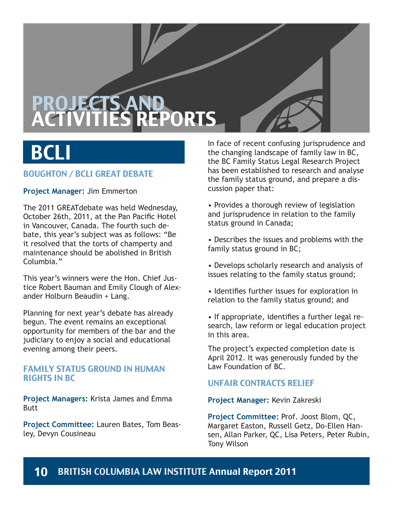# PROJECTS AND PORTS

# **BCLI**

### BOUGHTON / BCLI GREAT DEBATE

**Project Manager:** Jim Emmerton

The 2011 GREATdebate was held Wednesday, October 26th, 2011, at the Pan Pacific Hotel in Vancouver, Canada. The fourth such debate, this year's subject was as follows: "Be it resolved that the torts of champerty and maintenance should be abolished in British Columbia."

This year's winners were the Hon. Chief Justice Robert Bauman and Emily Clough of Alexander Holburn Beaudin + Lang.

Planning for next year's debate has already begun. The event remains an exceptional opportunity for members of the bar and the judiciary to enjoy a social and educational evening among their peers.

### FAMILY STATUS GROUND IN HUMAN RIGHTS IN BC

**Project Managers:** Krista James and Emma **Butt** 

**Project Committee:** Lauren Bates, Tom Beasley, Devyn Cousineau

In face of recent confusing jurisprudence and the changing landscape of family law in BC, the BC Family Status Legal Research Project has been established to research and analyse the family status ground, and prepare a discussion paper that:

• Provides a thorough review of legislation and jurisprudence in relation to the family status ground in Canada;

• Describes the issues and problems with the family status ground in BC;

• Develops scholarly research and analysis of issues relating to the family status ground;

• Identifies further issues for exploration in relation to the family status ground; and

• If appropriate, identifies a further legal research, law reform or legal education project in this area.

The project's expected completion date is April 2012. It was generously funded by the Law Foundation of BC.

### UNFAIR CONTRACTS RELIEF

**Project Manager:** Kevin Zakreski

**Project Committee:** Prof. Joost Blom, QC, Margaret Easton, Russell Getz, Do-Ellen Hansen, Allan Parker, QC, Lisa Peters, Peter Rubin, Tony Wilson

### 10 BRITISH COLUMBIA LAW INSTITUTE Annual Report 2011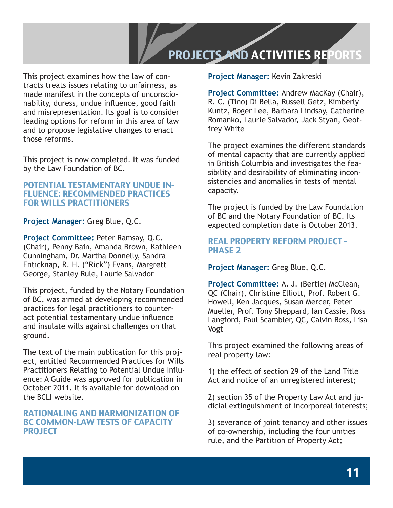### PROJECTS AND ACTIVITIES REPORTS

This project examines how the law of contracts treats issues relating to unfairness, as made manifest in the concepts of unconscionability, duress, undue influence, good faith and misrepresentation. Its goal is to consider leading options for reform in this area of law and to propose legislative changes to enact those reforms.

This project is now completed. It was funded by the Law Foundation of BC.

### POTENTIAL TESTAMENTARY UNDUE IN-FLUENCE: RECOMMENDED PRACTICES FOR WILLS PRACTITIONERS

**Project Manager:** Greg Blue, Q.C.

**Project Committee:** Peter Ramsay, Q.C. (Chair), Penny Bain, Amanda Brown, Kathleen Cunningham, Dr. Martha Donnelly, Sandra Enticknap, R. H. ("Rick") Evans, Margrett George, Stanley Rule, Laurie Salvador

This project, funded by the Notary Foundation of BC, was aimed at developing recommended practices for legal practitioners to counteract potential testamentary undue influence and insulate wills against challenges on that ground.

The text of the main publication for this project, entitled Recommended Practices for Wills Practitioners Relating to Potential Undue Influence: A Guide was approved for publication in October 2011. It is available for download on the BCLI website.

### RATIONALING AND HARMONIZATION OF BC COMMON-LAW TESTS OF CAPACITY PROJECT

**Project Manager:** Kevin Zakreski

**Project Committee:** Andrew MacKay (Chair), R. C. (Tino) Di Bella, Russell Getz, Kimberly Kuntz, Roger Lee, Barbara Lindsay, Catherine Romanko, Laurie Salvador, Jack Styan, Geoffrey White

The project examines the different standards of mental capacity that are currently applied in British Columbia and investigates the feasibility and desirability of eliminating inconsistencies and anomalies in tests of mental capacity.

The project is funded by the Law Foundation of BC and the Notary Foundation of BC. Its expected completion date is October 2013.

### REAL PROPERTY REFORM PROJECT - PHASE 2

**Project Manager:** Greg Blue, Q.C.

**Project Committee:** A. J. (Bertie) McClean, QC (Chair), Christine Elliott, Prof. Robert G. Howell, Ken Jacques, Susan Mercer, Peter Mueller, Prof. Tony Sheppard, Ian Cassie, Ross Langford, Paul Scambler, QC, Calvin Ross, Lisa Vogt

This project examined the following areas of real property law:

1) the effect of section 29 of the Land Title Act and notice of an unregistered interest;

2) section 35 of the Property Law Act and judicial extinguishment of incorporeal interests;

3) severance of joint tenancy and other issues of co-ownership, including the four unities rule, and the Partition of Property Act;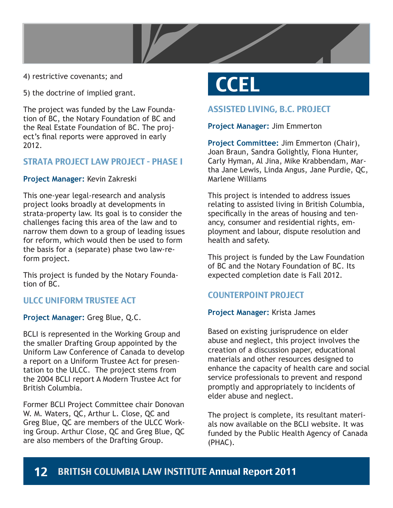

4) restrictive covenants; and

5) the doctrine of implied grant.

The project was funded by the Law Foundation of BC, the Notary Foundation of BC and the Real Estate Foundation of BC. The project's final reports were approved in early 2012.

### STRATA PROJECT LAW PROJECT - PHASE I

### **Project Manager:** Kevin Zakreski

This one-year legal-research and analysis project looks broadly at developments in strata-property law. Its goal is to consider the challenges facing this area of the law and to narrow them down to a group of leading issues for reform, which would then be used to form the basis for a (separate) phase two law-reform project.

This project is funded by the Notary Foundation of BC.

### ULCC UNIFORM TRUSTEE ACT

**Project Manager:** Greg Blue, Q.C.

BCLI is represented in the Working Group and the smaller Drafting Group appointed by the Uniform Law Conference of Canada to develop a report on a Uniform Trustee Act for presentation to the ULCC. The project stems from the 2004 BCLI report A Modern Trustee Act for British Columbia.

Former BCLI Project Committee chair Donovan W. M. Waters, QC, Arthur L. Close, QC and Greg Blue, QC are members of the ULCC Working Group. Arthur Close, QC and Greg Blue, QC are also members of the Drafting Group.

# **CCEL**

### ASSISTED LIVING, B.C. PROJECT

### **Project Manager:** Jim Emmerton

**Project Committee:** Jim Emmerton (Chair), Joan Braun, Sandra Golightly, Fiona Hunter, Carly Hyman, Al Jina, Mike Krabbendam, Martha Jane Lewis, Linda Angus, Jane Purdie, QC, Marlene Williams

This project is intended to address issues relating to assisted living in British Columbia, specifically in the areas of housing and tenancy, consumer and residential rights, employment and labour, dispute resolution and health and safety.

This project is funded by the Law Foundation of BC and the Notary Foundation of BC. Its expected completion date is Fall 2012.

### COUNTERPOINT PROJECT

### **Project Manager:** Krista James

Based on existing jurisprudence on elder abuse and neglect, this project involves the creation of a discussion paper, educational materials and other resources designed to enhance the capacity of health care and social service professionals to prevent and respond promptly and appropriately to incidents of elder abuse and neglect.

The project is complete, its resultant materials now available on the BCLI website. It was funded by the Public Health Agency of Canada (PHAC).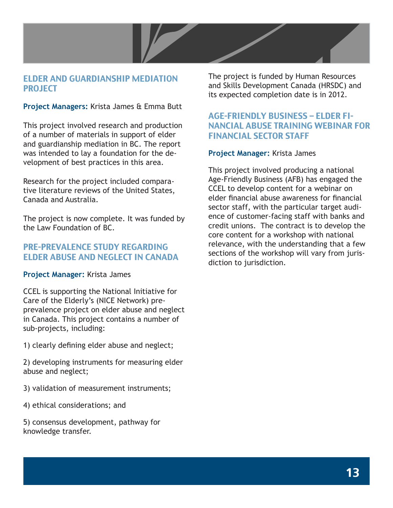

### ELDER AND GUARDIANSHIP MEDIATION PROJECT

**Project Managers:** Krista James & Emma Butt

This project involved research and production of a number of materials in support of elder and guardianship mediation in BC. The report was intended to lay a foundation for the development of best practices in this area.

Research for the project included comparative literature reviews of the United States, Canada and Australia.

The project is now complete. It was funded by the Law Foundation of BC.

### PRE-PREVALENCE STUDY REGARDING ELDER ABUSE AND NEGLECT IN CANADA

### **Project Manager:** Krista James

CCEL is supporting the National Initiative for Care of the Elderly's (NICE Network) preprevalence project on elder abuse and neglect in Canada. This project contains a number of sub-projects, including:

1) clearly defining elder abuse and neglect;

2) developing instruments for measuring elder abuse and neglect;

- 3) validation of measurement instruments;
- 4) ethical considerations; and

5) consensus development, pathway for knowledge transfer.

The project is funded by Human Resources and Skills Development Canada (HRSDC) and its expected completion date is in 2012.

### AGE-FRIENDLY BUSINESS – ELDER FI-NANCIAL ABUSE TRAINING WEBINAR FOR FINANCIAL SECTOR STAFF

### **Project Manager:** Krista James

This project involved producing a national Age-Friendly Business (AFB) has engaged the CCEL to develop content for a webinar on elder financial abuse awareness for financial sector staff, with the particular target audience of customer-facing staff with banks and credit unions. The contract is to develop the core content for a workshop with national relevance, with the understanding that a few sections of the workshop will vary from jurisdiction to jurisdiction.